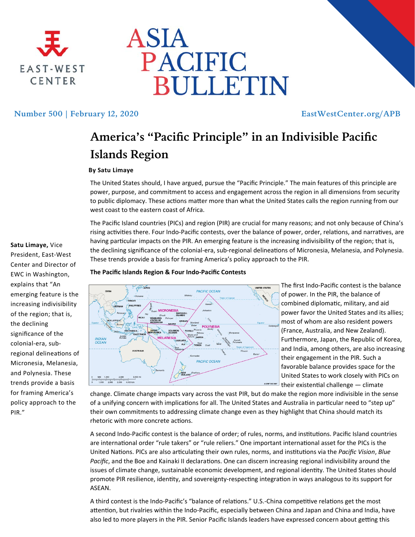



## Number 500 | February 12, 2020 **EastWestCenter.org/APB**

# **America's "Pacific Principle" in an Indivisible Pacific Islands Region**

### **By Satu Limaye**

The United States should, I have argued, pursue the "Pacific Principle." The main features of this principle are power, purpose, and commitment to access and engagement across the region in all dimensions from security to public diplomacy. These actions matter more than what the United States calls the region running from our west coast to the eastern coast of Africa.

The Pacific Island countries (PICs) and region (PIR) are crucial for many reasons; and not only because of China's rising activities there. Four Indo-Pacific contests, over the balance of power, order, relations, and narratives, are having particular impacts on the PIR. An emerging feature is the increasing indivisibility of the region; that is, the declining significance of the colonial-era, sub-regional delineations of Micronesia, Melanesia, and Polynesia. These trends provide a basis for framing America's policy approach to the PIR.

#### **The Pacific Islands Region & Four Indo‐Pacific Contests**



The first Indo‐Pacific contest is the balance of power. In the PIR, the balance of combined diplomatic, military, and aid power favor the United States and its allies; most of whom are also resident powers (France, Australia, and New Zealand). Furthermore, Japan, the Republic of Korea, and India, among others, are also increasing their engagement in the PIR. Such a favorable balance provides space for the United States to work closely with PICs on their existential challenge  $-$  climate

change. Climate change impacts vary across the vast PIR, but do make the region more indivisible in the sense of a unifying concern with implications for all. The United States and Australia in particular need to "step up" their own commitments to addressing climate change even as they highlight that China should match its rhetoric with more concrete actions.

A second Indo-Pacific contest is the balance of order; of rules, norms, and institutions. Pacific Island countries are international order "rule takers" or "rule reliers." One important international asset for the PICs is the United Nations. PICs are also articulating their own rules, norms, and institutions via the *Pacific Vision*, *Blue* Pacific, and the Boe and Kainaki II declarations. One can discern increasing regional indivisibility around the issues of climate change, sustainable economic development, and regional identity. The United States should promote PIR resilience, identity, and sovereignty-respecting integration in ways analogous to its support for ASEAN.

A third contest is the Indo-Pacific's "balance of relations." U.S.-China competitive relations get the most attention, but rivalries within the Indo-Pacific, especially between China and Japan and China and India, have also led to more players in the PIR. Senior Pacific Islands leaders have expressed concern about getting this

**Satu Limaye,** Vice President, East‐West Center and Director of EWC in Washington, explains that "An emerging feature is the increasing indivisibility of the region; that is, the declining significance of the colonial‐era, sub‐ regional delineations of Micronesia, Melanesia, and Polynesia. These trends provide a basis for framing America's policy approach to the PIR."